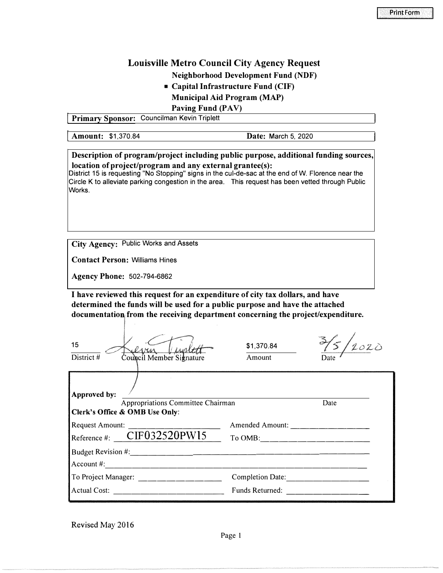## **Louisville Metro Council City Agency Request**

**Neighborhood Development Fund (NDF)** 

**<sup>111</sup>Capital Infrastructure Fund (CIF)** 

**Municipal Aid Program (MAP)** 

**Paving Fund (PAV)** 

I **Primary Sponsor:** Councilman Kevin Triplett

| <b>Amount: \$1,370.84</b> |  |
|---------------------------|--|
|                           |  |

Works.

**Date: March 5, 2020** 

**Description of program/project including public purpose, additional funding sources, location of project/program and any external grantee(s):**  District 15 is requesting "No Stopping" signs in the cul-de-sac at the end of W. Florence near the Circle K to alleviate parking congestion in the area. This request has been vetted through Public

**City Agency:** Public Works and Assets

**Contact Person:** Williams Hines

**Agency Phone:** 502-794-6862

**I have reviewed this request for an expenditure of city tax dollars, and have determined the funds will be used for a public purpose and have the attached**  documentation from the receiving department concerning the project/expenditure.

| 15<br>District #<br>Council Member Signature                             | \$1,370.84<br>Amount    | Date |
|--------------------------------------------------------------------------|-------------------------|------|
| Approved by:                                                             |                         |      |
| Appropriations Committee Chairman<br>Clerk's Office & OMB Use Only:      |                         | Date |
| Request Amount:                                                          |                         |      |
| Reference #: $CIF032520PW15$                                             | To OMB: $\qquad \qquad$ |      |
| Budget Revision #:                                                       |                         |      |
| Account $\#$ :<br><u> 1980 - Andrea Andrew Amerikaanse kommunister (</u> |                         |      |
| To Project Manager: ________________                                     | <b>Completion Date:</b> |      |
| <b>Actual Cost:</b>                                                      | Funds Returned:         |      |

Revised May 2016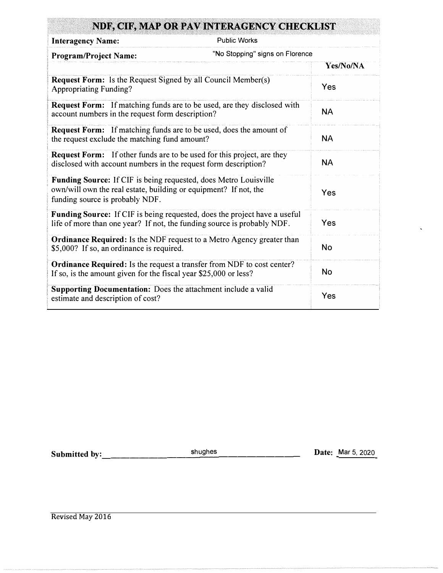| NDF, CIF, MAP OR PAV INTERAGENCY CHECKLIST                                                                                                                              |                  |  |
|-------------------------------------------------------------------------------------------------------------------------------------------------------------------------|------------------|--|
| <b>Interagency Name:</b><br><b>Public Works</b>                                                                                                                         |                  |  |
| "No Stopping" signs on Florence<br><b>Program/Project Name:</b>                                                                                                         |                  |  |
|                                                                                                                                                                         | <b>Yes/No/NA</b> |  |
| <b>Request Form:</b> Is the Request Signed by all Council Member(s)<br><b>Appropriating Funding?</b>                                                                    | Yes              |  |
| <b>Request Form:</b> If matching funds are to be used, are they disclosed with<br>account numbers in the request form description?                                      | <b>NA</b>        |  |
| <b>Request Form:</b> If matching funds are to be used, does the amount of<br>the request exclude the matching fund amount?                                              | <b>NA</b>        |  |
| <b>Request Form:</b> If other funds are to be used for this project, are they<br>disclosed with account numbers in the request form description?                        | <b>NA</b>        |  |
| Funding Source: If CIF is being requested, does Metro Louisville<br>own/will own the real estate, building or equipment? If not, the<br>funding source is probably NDF. | Yes              |  |
| Funding Source: If CIF is being requested, does the project have a useful<br>Yes<br>life of more than one year? If not, the funding source is probably NDF.             |                  |  |
| <b>Ordinance Required:</b> Is the NDF request to a Metro Agency greater than<br>\$5,000? If so, an ordinance is required.                                               | <b>No</b>        |  |
| <b>Ordinance Required:</b> Is the request a transfer from NDF to cost center?<br>If so, is the amount given for the fiscal year \$25,000 or less?                       | <b>No</b>        |  |
| Supporting Documentation: Does the attachment include a valid<br>estimate and description of cost?                                                                      | Yes              |  |

**Submitted by: \_\_\_\_\_\_\_\_\_\_** s \_u\_g\_ e

h h \_ \_

 $s = \frac{1}{2}$ 

**Date:** Mar 5, 2020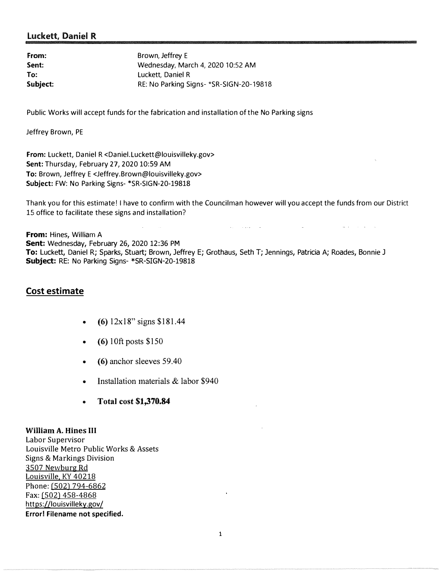# **Luckett, Daniel R**

| From:    | Brown, Jeffrey E                        |
|----------|-----------------------------------------|
| Sent:    | Wednesday, March 4, 2020 10:52 AM       |
| To:      | Luckett. Daniel R                       |
| Subject: | RE: No Parking Signs- *SR-SIGN-20-19818 |

Public Works will accept funds for the fabrication and installation of the No Parking signs

Jeffrey Brown, PE

**From:** Luckett, Daniel R <Daniel.Luckett@louisvilleky.gov> **Sent:** Thursday, February 27, 2020 10:59 AM **To:** Brown, Jeffrey E <Jeffrey.Brown@louisvilleky.gov> **Subject:** FW: No Parking Signs- \*SR-SIGN-20-19818

Thank you for this estimate! I have to confirm with the Councilman however will you accept the funds from our District 15 office to facilitate these signs and installation?

 $\sim 10^{11}$  m  $^{-1}$ 

where the contract of

**From:** Hines, William A **Sent:** Wednesday, February 26, 2020 12:36 PM **To:** Luckett, Daniel R; Sparks, Stuart; Brown, Jeffrey E; Grothaus, Seth T; Jennings, Patricia A; Roades, Bonnie J **Subject:** RE: No Parking Signs- \*SR-SIGN-20-19818

### **Cost estimate**

- (6) 12xl8" signs \$181.44
- **(6)** 1 Oft posts \$150
- **(6)** anchor sleeves 59.40
- Installation materials & labor \$940
- **• Total cost \$1,370.84**

#### **William A. Hines** Ill

Labor Supervisor Louisville Metro Public Works & Assets Signs & Markings Division 3507 Newburg Rd Louisville. KY 40218 Phone: (502) 794-6862 Fax: (502) 458-4868 https://louisvilleky.gov/ **Error! Filename not specified.** 

1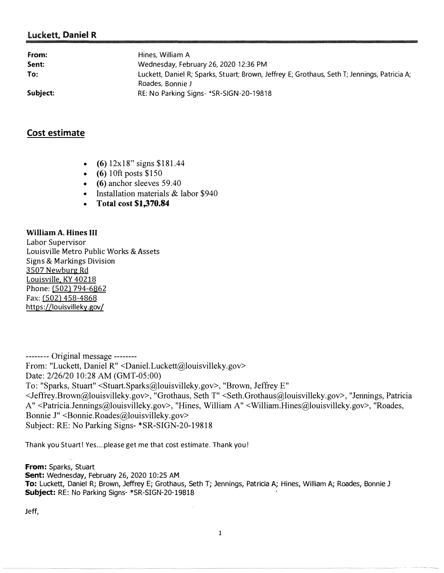## **Luckett, Daniel R**

| From:    | Hines, William A                                                                             |
|----------|----------------------------------------------------------------------------------------------|
| Sent:    | Wednesday, February 26, 2020 12:36 PM                                                        |
| To:      | Luckett, Daniel R; Sparks, Stuart; Brown, Jeffrey E; Grothaus, Seth T; Jennings, Patricia A; |
|          | Roades, Bonnie J                                                                             |
| Subiect: | RE: No Parking Signs- *SR-SIGN-20-19818                                                      |

### **Cost estimate**

- **(6)** 12x18" signs \$181.44
- **(6)** 10ft posts \$150
- **(6)** anchor sleeves 59.40
- Installation materials & labor \$940
- **Total cost \$1,370.84**

**William** A. **Hines Ill**  Labor Supervisor Louisville Metro Public Works & Assets Signs & Markings Division 3507 Newburg Rd Louisville. KY 40218 Phone: (502) 794-6862 Fax: (502) 458-4868 https://louisvilleky.gov/

-------- Original message -------- From: "Luckett, Daniel R" <Daniel.Luckett@louisvilleky.gov> Date: 2/26/20 10:28 AM (GMT-05:00) To: "Sparks, Stuart" <Stuart.Sparks@louisvilleky.gov>, "Brown, Jeffrey E" <Jeffrey.Brown@louisvilleky.gov>, "Grothaus, Seth T" <Seth.Grothaus@louisvilleky.gov>, "Jennings, Patricia A" <Patricia.Jennings@louisvilleky.gov>, "Hines, William A" <William.Hines@louisvilleky.gov>, "Roades, Bonnie J" <Bonnie.Roades@louisvilleky.gov> Subject: RE: No Parking Signs- \*SR-SIGN-20-19818

Thank you Stuart! Yes....please get me that cost estimate. Thank you!

**From:** Sparks, Stuart **Sent:** Wednesday, February 26, 2020 10:25 AM To: Luckett, Daniel R; Brown, Jeffrey E; Grothaus, Seth T; Jennings, Patricia A; Hines, William A; Roades, Bonnie J **Subject:** RE: No Parking Signs- \*SR-SIGN-20-19818

Jeff,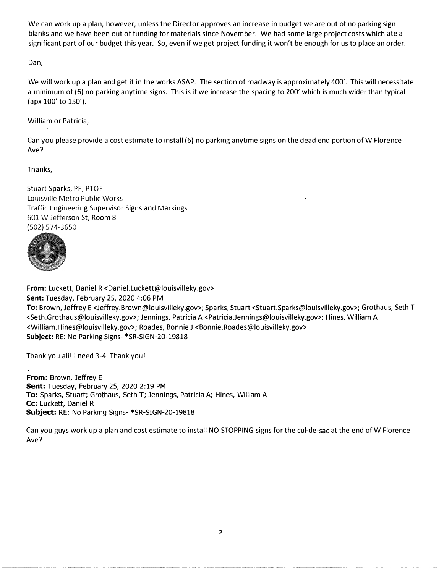We can work up a plan, however, unless the Director approves an increase in budget we are out of no parking sign blanks and we have been out of funding for materials since November. We had some large project costs which ate a significant part of our budget this year. So, even if we get project funding it won't be enough for us to place an order.

Dan,

We will work up a plan and get it in the works ASAP. The section of roadway is approximately 400'. This will necessitate a minimum of (6) no parking anytime signs. This is if we increase the spacing to 200' which is much wider than typical (apx 100' to 150').

William or Patricia,

Can you please provide a cost estimate to install (6) no parking anytime signs on the dead end portion of W Florence Ave?

Thanks,

Stuart Sparks, PE, PTOE Louisville Metro Public Works Traffic Engineering Supervisor Signs and Markings 601 W Jefferson St, Room 8 (502} 574-3650



**From:** Luckett, Daniel R <Daniel.Luckett@louisvilleky.gov> **Sent:** Tuesday, February 25, 2020 4:06 PM To: Brown, Jeffrey E <Jeffrey.Brown@louisvilleky.gov>; Sparks, Stuart <Stuart.Sparks@louisvilleky.gov>; Grothaus, Seth T <Seth.Grothaus@louisvilleky.gov>; Jennings, Patricia A <Patricia.Jennings@louisvilleky.gov>; Hines, William A <William.Hines@louisvilleky.gov>; Roades, Bonnie J <Bonnie.Roades@louisvilleky.gov> **Subject:** RE: No Parking Signs- \*SR-SIGN-20-19818

Thank you all! I need 3-4. Thank you!

**From:** Brown, Jeffrey E Sent: Tuesday, February 25, 2020 2:19 PM **To:** Sparks, Stuart; Grothaus, Seth T; Jennings, Patricia A; Hines, William A Cc: Luckett, Daniel R **Subject:** RE: No Parking Signs- \*SR-SIGN-20-19818

Can you guys work up a plan and cost estimate to install NO STOPPING signs for the cul-de-sac at the end of W Florence Ave?